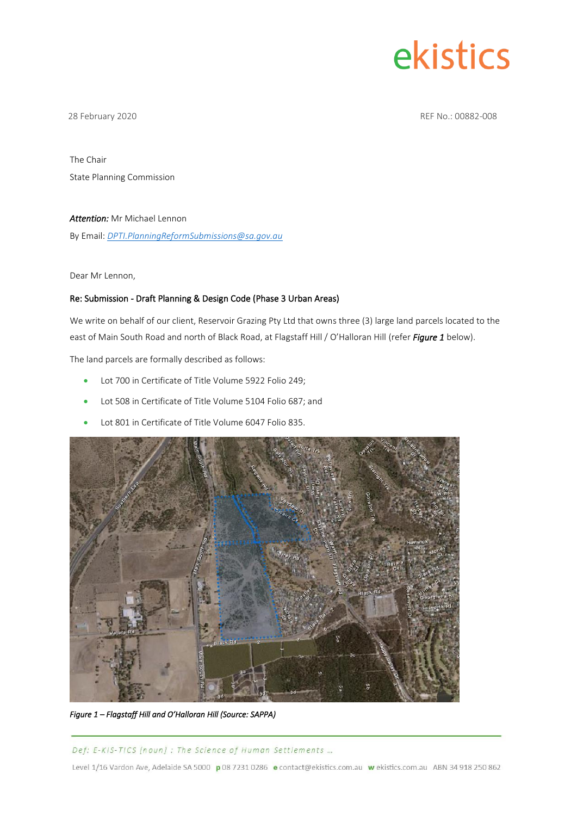# ekistics

28 February 2020 REF No.: 00882-008

The Chair State Planning Commission

#### *Attention:* Mr Michael Lennon

By Email: *[DPTI.PlanningReformSubmissions@sa.gov.au](mailto:DPTI.PlanningReformSubmissions@sa.gov.au)*

Dear Mr Lennon,

#### Re: Submission - Draft Planning & Design Code (Phase 3 Urban Areas)

We write on behalf of our client, Reservoir Grazing Pty Ltd that owns three (3) large land parcels located to the east of Main South Road and north of Black Road, at Flagstaff Hill / O'Halloran Hill (refer *Figure 1* below).

The land parcels are formally described as follows:

- Lot 700 in Certificate of Title Volume 5922 Folio 249;
- Lot 508 in Certificate of Title Volume 5104 Folio 687; and
- Lot 801 in Certificate of Title Volume 6047 Folio 835.



*Figure 1 – Flagstaff Hill and O'Halloran Hill (Source: SAPPA)* 

Def: E-KIS-TICS [noun]: The Science of Human Settlements ...

Level 1/16 Vardon Ave, Adelaide SA 5000 p 08 7231 0286 e contact@ekistics.com.au w ekistics.com.au ABN 34 918 250 862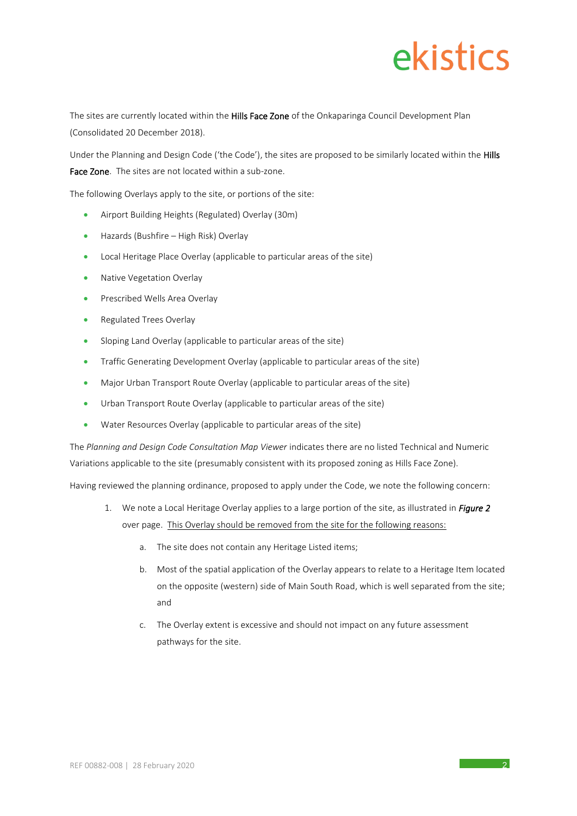## ekistics

The sites are currently located within the Hills Face Zone of the Onkaparinga Council Development Plan (Consolidated 20 December 2018).

Under the Planning and Design Code ('the Code'), the sites are proposed to be similarly located within the Hills Face Zone. The sites are not located within a sub-zone.

The following Overlays apply to the site, or portions of the site:

- Airport Building Heights (Regulated) Overlay (30m)
- Hazards (Bushfire High Risk) Overlay
- Local Heritage Place Overlay (applicable to particular areas of the site)
- Native Vegetation Overlay
- Prescribed Wells Area Overlay
- Regulated Trees Overlay
- Sloping Land Overlay (applicable to particular areas of the site)
- Traffic Generating Development Overlay (applicable to particular areas of the site)
- Major Urban Transport Route Overlay (applicable to particular areas of the site)
- Urban Transport Route Overlay (applicable to particular areas of the site)
- Water Resources Overlay (applicable to particular areas of the site)

The *Planning and Design Code Consultation Map Viewer* indicates there are no listed Technical and Numeric Variations applicable to the site (presumably consistent with its proposed zoning as Hills Face Zone).

Having reviewed the planning ordinance, proposed to apply under the Code, we note the following concern:

- 1. We note a Local Heritage Overlay applies to a large portion of the site, as illustrated in *Figure 2* over page. This Overlay should be removed from the site for the following reasons:
	- a. The site does not contain any Heritage Listed items;
	- b. Most of the spatial application of the Overlay appears to relate to a Heritage Item located on the opposite (western) side of Main South Road, which is well separated from the site; and
	- c. The Overlay extent is excessive and should not impact on any future assessment pathways for the site.